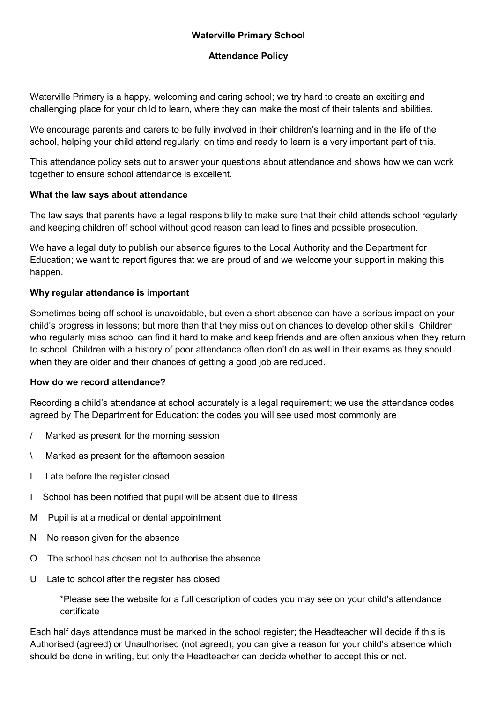## Waterville Primary School

#### Attendance Policy

Waterville Primary is a happy, welcoming and caring school; we try hard to create an exciting and challenging place for your child to learn, where they can make the most of their talents and abilities.

We encourage parents and carers to be fully involved in their children's learning and in the life of the school, helping your child attend regularly; on time and ready to learn is a very important part of this.

This attendance policy sets out to answer your questions about attendance and shows how we can work together to ensure school attendance is excellent.

#### What the law says about attendance

The law says that parents have a legal responsibility to make sure that their child attends school regularly and keeping children off school without good reason can lead to fines and possible prosecution.

We have a legal duty to publish our absence figures to the Local Authority and the Department for Education; we want to report figures that we are proud of and we welcome your support in making this happen.

#### Why regular attendance is important

Sometimes being off school is unavoidable, but even a short absence can have a serious impact on your child's progress in lessons; but more than that they miss out on chances to develop other skills. Children who regularly miss school can find it hard to make and keep friends and are often anxious when they return to school. Children with a history of poor attendance often don't do as well in their exams as they should when they are older and their chances of getting a good job are reduced.

#### How do we record attendance?

Recording a child's attendance at school accurately is a legal requirement; we use the attendance codes agreed by The Department for Education; the codes you will see used most commonly are

- / Marked as present for the morning session
- \ Marked as present for the afternoon session
- L Late before the register closed
- I School has been notified that pupil will be absent due to illness
- M Pupil is at a medical or dental appointment
- N No reason given for the absence
- O The school has chosen not to authorise the absence
- U Late to school after the register has closed

\*Please see the website for a full description of codes you may see on your child's attendance certificate

Each half days attendance must be marked in the school register; the Headteacher will decide if this is Authorised (agreed) or Unauthorised (not agreed); you can give a reason for your child's absence which should be done in writing, but only the Headteacher can decide whether to accept this or not.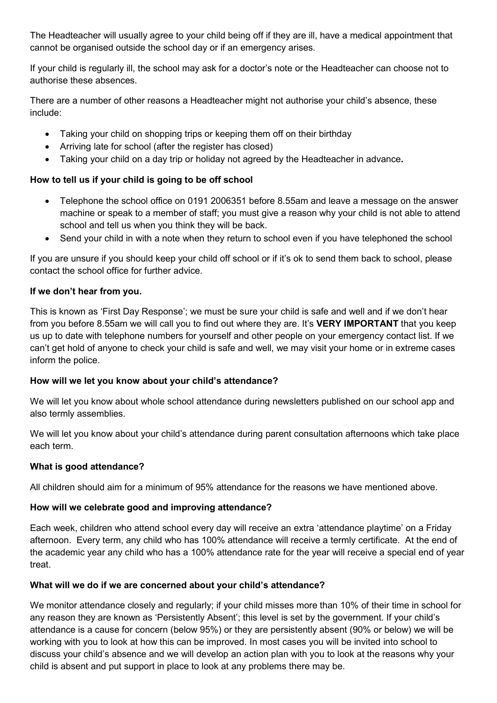The Headteacher will usually agree to your child being off if they are ill, have a medical appointment that cannot be organised outside the school day or if an emergency arises.

If your child is regularly ill, the school may ask for a doctor's note or the Headteacher can choose not to authorise these absences.

There are a number of other reasons a Headteacher might not authorise your child's absence, these include:

- Taking your child on shopping trips or keeping them off on their birthday
- Arriving late for school (after the register has closed)
- Taking your child on a day trip or holiday not agreed by the Headteacher in advance.

## How to tell us if your child is going to be off school

- Telephone the school office on 0191 2006351 before 8.55am and leave a message on the answer machine or speak to a member of staff; you must give a reason why your child is not able to attend school and tell us when you think they will be back.
- Send your child in with a note when they return to school even if you have telephoned the school

If you are unsure if you should keep your child off school or if it's ok to send them back to school, please contact the school office for further advice.

#### If we don't hear from you.

This is known as 'First Day Response'; we must be sure your child is safe and well and if we don't hear from you before 8.55am we will call you to find out where they are. It's VERY IMPORTANT that you keep us up to date with telephone numbers for yourself and other people on your emergency contact list. If we can't get hold of anyone to check your child is safe and well, we may visit your home or in extreme cases inform the police.

#### How will we let you know about your child's attendance?

We will let you know about whole school attendance during newsletters published on our school app and also termly assemblies.

We will let you know about your child's attendance during parent consultation afternoons which take place each term.

#### What is good attendance?

All children should aim for a minimum of 95% attendance for the reasons we have mentioned above.

## How will we celebrate good and improving attendance?

Each week, children who attend school every day will receive an extra 'attendance playtime' on a Friday afternoon. Every term, any child who has 100% attendance will receive a termly certificate. At the end of the academic year any child who has a 100% attendance rate for the year will receive a special end of year treat.

## What will we do if we are concerned about your child's attendance?

We monitor attendance closely and regularly; if your child misses more than 10% of their time in school for any reason they are known as 'Persistently Absent'; this level is set by the government. If your child's attendance is a cause for concern (below 95%) or they are persistently absent (90% or below) we will be working with you to look at how this can be improved. In most cases you will be invited into school to discuss your child's absence and we will develop an action plan with you to look at the reasons why your child is absent and put support in place to look at any problems there may be.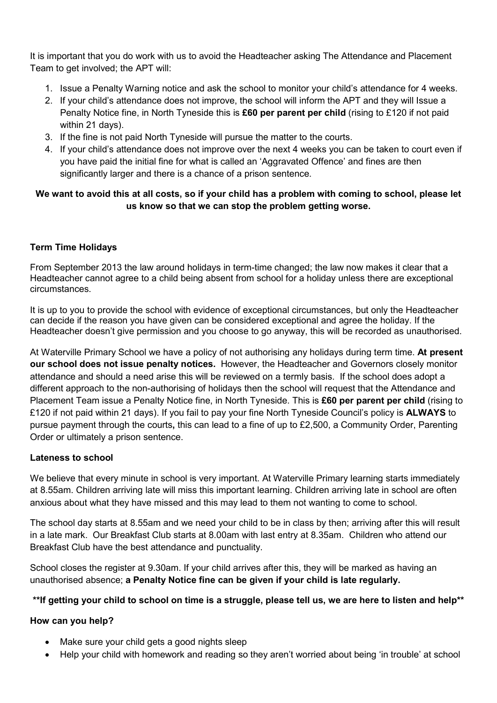It is important that you do work with us to avoid the Headteacher asking The Attendance and Placement Team to get involved; the APT will:

- 1. Issue a Penalty Warning notice and ask the school to monitor your child's attendance for 4 weeks.
- 2. If your child's attendance does not improve, the school will inform the APT and they will Issue a Penalty Notice fine, in North Tyneside this is £60 per parent per child (rising to £120 if not paid within 21 days).
- 3. If the fine is not paid North Tyneside will pursue the matter to the courts.
- 4. If your child's attendance does not improve over the next 4 weeks you can be taken to court even if you have paid the initial fine for what is called an 'Aggravated Offence' and fines are then significantly larger and there is a chance of a prison sentence.

# We want to avoid this at all costs, so if your child has a problem with coming to school, please let us know so that we can stop the problem getting worse.

# Term Time Holidays

From September 2013 the law around holidays in term-time changed; the law now makes it clear that a Headteacher cannot agree to a child being absent from school for a holiday unless there are exceptional circumstances.

It is up to you to provide the school with evidence of exceptional circumstances, but only the Headteacher can decide if the reason you have given can be considered exceptional and agree the holiday. If the Headteacher doesn't give permission and you choose to go anyway, this will be recorded as unauthorised.

At Waterville Primary School we have a policy of not authorising any holidays during term time. At present our school does not issue penalty notices. However, the Headteacher and Governors closely monitor attendance and should a need arise this will be reviewed on a termly basis. If the school does adopt a different approach to the non-authorising of holidays then the school will request that the Attendance and Placement Team issue a Penalty Notice fine, in North Tyneside. This is £60 per parent per child (rising to £120 if not paid within 21 days). If you fail to pay your fine North Tyneside Council's policy is **ALWAYS** to pursue payment through the courts, this can lead to a fine of up to £2,500, a Community Order, Parenting Order or ultimately a prison sentence.

## Lateness to school

We believe that every minute in school is very important. At Waterville Primary learning starts immediately at 8.55am. Children arriving late will miss this important learning. Children arriving late in school are often anxious about what they have missed and this may lead to them not wanting to come to school.

The school day starts at 8.55am and we need your child to be in class by then; arriving after this will result in a late mark. Our Breakfast Club starts at 8.00am with last entry at 8.35am. Children who attend our Breakfast Club have the best attendance and punctuality.

School closes the register at 9.30am. If your child arrives after this, they will be marked as having an unauthorised absence; a Penalty Notice fine can be given if your child is late regularly.

## \*\*If getting your child to school on time is a struggle, please tell us, we are here to listen and help\*\*

## How can you help?

- Make sure your child gets a good nights sleep
- Help your child with homework and reading so they aren't worried about being 'in trouble' at school